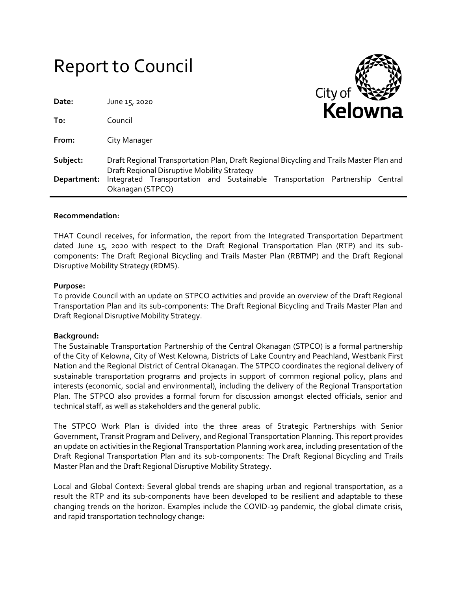|             | <b>Report to Council</b>                                                                                                               |
|-------------|----------------------------------------------------------------------------------------------------------------------------------------|
| Date:       | City of<br>June 15, 2020<br>Kelowna                                                                                                    |
| To:         | Council                                                                                                                                |
| From:       | City Manager                                                                                                                           |
| Subject:    | Draft Regional Transportation Plan, Draft Regional Bicycling and Trails Master Plan and<br>Draft Regional Disruptive Mobility Strategy |
| Department: | Integrated Transportation and Sustainable Transportation Partnership Central<br>Okanagan (STPCO)                                       |

⌒❤⌒

## **Recommendation:**

THAT Council receives, for information, the report from the Integrated Transportation Department dated June 15, 2020 with respect to the Draft Regional Transportation Plan (RTP) and its subcomponents: The Draft Regional Bicycling and Trails Master Plan (RBTMP) and the Draft Regional Disruptive Mobility Strategy (RDMS).

### **Purpose:**

To provide Council with an update on STPCO activities and provide an overview of the Draft Regional Transportation Plan and its sub-components: The Draft Regional Bicycling and Trails Master Plan and Draft Regional Disruptive Mobility Strategy.

## **Background:**

The Sustainable Transportation Partnership of the Central Okanagan (STPCO) is a formal partnership of the City of Kelowna, City of West Kelowna, Districts of Lake Country and Peachland, Westbank First Nation and the Regional District of Central Okanagan. The STPCO coordinates the regional delivery of sustainable transportation programs and projects in support of common regional policy, plans and interests (economic, social and environmental), including the delivery of the Regional Transportation Plan. The STPCO also provides a formal forum for discussion amongst elected officials, senior and technical staff, as well as stakeholders and the general public.

The STPCO Work Plan is divided into the three areas of Strategic Partnerships with Senior Government, Transit Program and Delivery, and Regional Transportation Planning. This report provides an update on activities in the Regional Transportation Planning work area, including presentation of the Draft Regional Transportation Plan and its sub-components: The Draft Regional Bicycling and Trails Master Plan and the Draft Regional Disruptive Mobility Strategy.

Local and Global Context: Several global trends are shaping urban and regional transportation, as a result the RTP and its sub-components have been developed to be resilient and adaptable to these changing trends on the horizon. Examples include the COVID-19 pandemic, the global climate crisis, and rapid transportation technology change: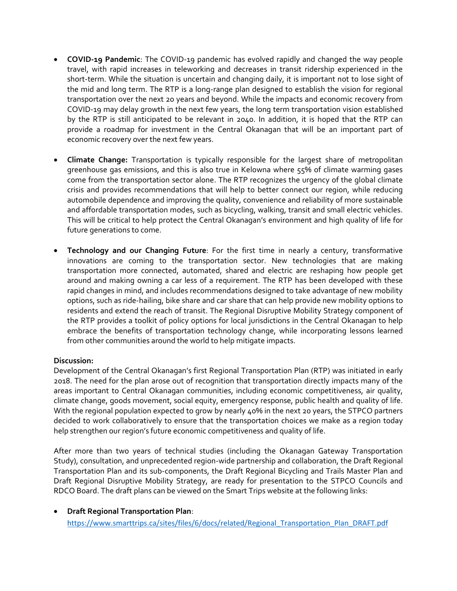- **COVID-19 Pandemic**: The COVID-19 pandemic has evolved rapidly and changed the way people travel, with rapid increases in teleworking and decreases in transit ridership experienced in the short-term. While the situation is uncertain and changing daily, it is important not to lose sight of the mid and long term. The RTP is a long-range plan designed to establish the vision for regional transportation over the next 20 years and beyond. While the impacts and economic recovery from COVID-19 may delay growth in the next few years, the long term transportation vision established by the RTP is still anticipated to be relevant in 2040. In addition, it is hoped that the RTP can provide a roadmap for investment in the Central Okanagan that will be an important part of economic recovery over the next few years.
- **Climate Change:** Transportation is typically responsible for the largest share of metropolitan greenhouse gas emissions, and this is also true in Kelowna where 55% of climate warming gases come from the transportation sector alone. The RTP recognizes the urgency of the global climate crisis and provides recommendations that will help to better connect our region, while reducing automobile dependence and improving the quality, convenience and reliability of more sustainable and affordable transportation modes, such as bicycling, walking, transit and small electric vehicles. This will be critical to help protect the Central Okanagan's environment and high quality of life for future generations to come.
- **Technology and our Changing Future**: For the first time in nearly a century, transformative innovations are coming to the transportation sector. New technologies that are making transportation more connected, automated, shared and electric are reshaping how people get around and making owning a car less of a requirement. The RTP has been developed with these rapid changes in mind, and includes recommendations designed to take advantage of new mobility options, such as ride-hailing, bike share and car share that can help provide new mobility options to residents and extend the reach of transit. The Regional Disruptive Mobility Strategy component of the RTP provides a toolkit of policy options for local jurisdictions in the Central Okanagan to help embrace the benefits of transportation technology change, while incorporating lessons learned from other communities around the world to help mitigate impacts.

## **Discussion:**

Development of the Central Okanagan's first Regional Transportation Plan (RTP) was initiated in early 2018. The need for the plan arose out of recognition that transportation directly impacts many of the areas important to Central Okanagan communities, including economic competitiveness, air quality, climate change, goods movement, social equity, emergency response, public health and quality of life. With the regional population expected to grow by nearly 40% in the next 20 years, the STPCO partners decided to work collaboratively to ensure that the transportation choices we make as a region today help strengthen our region's future economic competitiveness and quality of life.

After more than two years of technical studies (including the Okanagan Gateway Transportation Study), consultation, and unprecedented region-wide partnership and collaboration, the Draft Regional Transportation Plan and its sub-components, the Draft Regional Bicycling and Trails Master Plan and Draft Regional Disruptive Mobility Strategy, are ready for presentation to the STPCO Councils and RDCO Board. The draft plans can be viewed on the Smart Trips website at the following links:

 **Draft Regional Transportation Plan**: [https://www.smarttrips.ca/sites/files/6/docs/related/Regional\\_Transportation\\_Plan\\_DRAFT.pdf](https://www.smarttrips.ca/sites/files/6/docs/related/Regional_Transportation_Plan_DRAFT.pdf)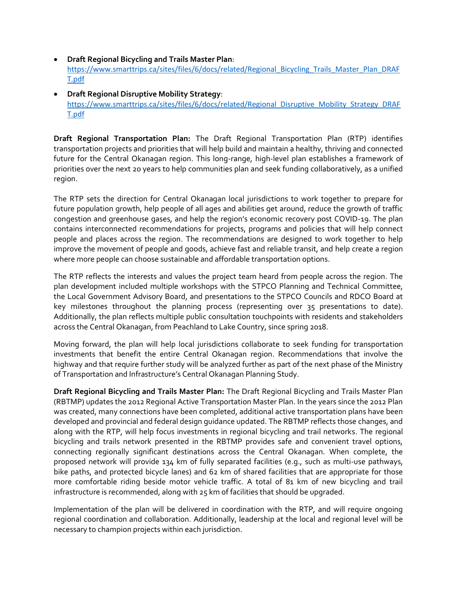# **Draft Regional Bicycling and Trails Master Plan**:

[https://www.smarttrips.ca/sites/files/6/docs/related/Regional\\_Bicycling\\_Trails\\_Master\\_Plan\\_DRAF](https://www.smarttrips.ca/sites/files/6/docs/related/Regional_Bicycling_Trails_Master_Plan_DRAFT.pdf) [T.pdf](https://www.smarttrips.ca/sites/files/6/docs/related/Regional_Bicycling_Trails_Master_Plan_DRAFT.pdf)

 **Draft Regional Disruptive Mobility Strategy**: [https://www.smarttrips.ca/sites/files/6/docs/related/Regional\\_Disruptive\\_Mobility\\_Strategy\\_DRAF](https://www.smarttrips.ca/sites/files/6/docs/related/Regional_Disruptive_Mobility_Strategy_DRAFT.pdf) [T.pdf](https://www.smarttrips.ca/sites/files/6/docs/related/Regional_Disruptive_Mobility_Strategy_DRAFT.pdf)

**Draft Regional Transportation Plan:** The Draft Regional Transportation Plan (RTP) identifies transportation projects and priorities that will help build and maintain a healthy, thriving and connected future for the Central Okanagan region. This long-range, high-level plan establishes a framework of priorities over the next 20 years to help communities plan and seek funding collaboratively, as a unified region.

The RTP sets the direction for Central Okanagan local jurisdictions to work together to prepare for future population growth, help people of all ages and abilities get around, reduce the growth of traffic congestion and greenhouse gases, and help the region's economic recovery post COVID-19. The plan contains interconnected recommendations for projects, programs and policies that will help connect people and places across the region. The recommendations are designed to work together to help improve the movement of people and goods, achieve fast and reliable transit, and help create a region where more people can choose sustainable and affordable transportation options.

The RTP reflects the interests and values the project team heard from people across the region. The plan development included multiple workshops with the STPCO Planning and Technical Committee, the Local Government Advisory Board, and presentations to the STPCO Councils and RDCO Board at key milestones throughout the planning process (representing over 35 presentations to date). Additionally, the plan reflects multiple public consultation touchpoints with residents and stakeholders across the Central Okanagan, from Peachland to Lake Country, since spring 2018.

Moving forward, the plan will help local jurisdictions collaborate to seek funding for transportation investments that benefit the entire Central Okanagan region. Recommendations that involve the highway and that require further study will be analyzed further as part of the next phase of the Ministry of Transportation and Infrastructure's Central Okanagan Planning Study.

**Draft Regional Bicycling and Trails Master Plan:** The Draft Regional Bicycling and Trails Master Plan (RBTMP) updates the 2012 Regional Active Transportation Master Plan. In the years since the 2012 Plan was created, many connections have been completed, additional active transportation plans have been developed and provincial and federal design guidance updated. The RBTMP reflects those changes, and along with the RTP, will help focus investments in regional bicycling and trail networks. The regional bicycling and trails network presented in the RBTMP provides safe and convenient travel options, connecting regionally significant destinations across the Central Okanagan. When complete, the proposed network will provide 134 km of fully separated facilities (e.g., such as multi-use pathways, bike paths, and protected bicycle lanes) and 62 km of shared facilities that are appropriate for those more comfortable riding beside motor vehicle traffic. A total of 81 km of new bicycling and trail infrastructure is recommended, along with 25 km of facilities that should be upgraded.

Implementation of the plan will be delivered in coordination with the RTP, and will require ongoing regional coordination and collaboration. Additionally, leadership at the local and regional level will be necessary to champion projects within each jurisdiction.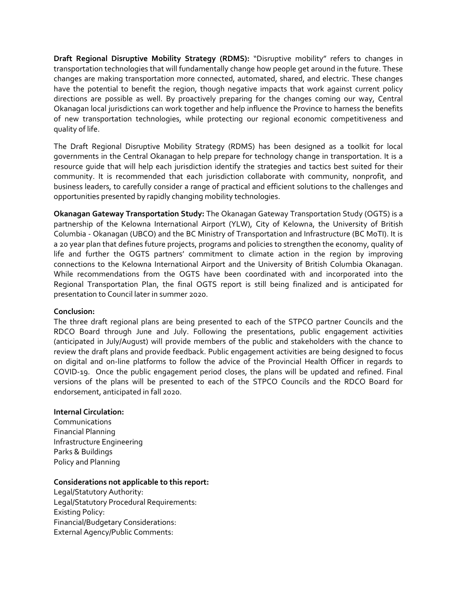**Draft Regional Disruptive Mobility Strategy (RDMS):** "Disruptive mobility" refers to changes in transportation technologies that will fundamentally change how people get around in the future. These changes are making transportation more connected, automated, shared, and electric. These changes have the potential to benefit the region, though negative impacts that work against current policy directions are possible as well. By proactively preparing for the changes coming our way, Central Okanagan local jurisdictions can work together and help influence the Province to harness the benefits of new transportation technologies, while protecting our regional economic competitiveness and quality of life.

The Draft Regional Disruptive Mobility Strategy (RDMS) has been designed as a toolkit for local governments in the Central Okanagan to help prepare for technology change in transportation. It is a resource guide that will help each jurisdiction identify the strategies and tactics best suited for their community. It is recommended that each jurisdiction collaborate with community, nonprofit, and business leaders, to carefully consider a range of practical and efficient solutions to the challenges and opportunities presented by rapidly changing mobility technologies.

**Okanagan Gateway Transportation Study:** The Okanagan Gateway Transportation Study (OGTS) is a partnership of the Kelowna International Airport (YLW), City of Kelowna, the University of British Columbia - Okanagan (UBCO) and the BC Ministry of Transportation and Infrastructure (BC MoTI). It is a 20 year plan that defines future projects, programs and policies to strengthen the economy, quality of life and further the OGTS partners' commitment to climate action in the region by improving connections to the Kelowna International Airport and the University of British Columbia Okanagan. While recommendations from the OGTS have been coordinated with and incorporated into the Regional Transportation Plan, the final OGTS report is still being finalized and is anticipated for presentation to Council later in summer 2020.

## **Conclusion:**

The three draft regional plans are being presented to each of the STPCO partner Councils and the RDCO Board through June and July. Following the presentations, public engagement activities (anticipated in July/August) will provide members of the public and stakeholders with the chance to review the draft plans and provide feedback. Public engagement activities are being designed to focus on digital and on-line platforms to follow the advice of the Provincial Health Officer in regards to COVID-19. Once the public engagement period closes, the plans will be updated and refined. Final versions of the plans will be presented to each of the STPCO Councils and the RDCO Board for endorsement, anticipated in fall 2020.

## **Internal Circulation:**

Communications Financial Planning Infrastructure Engineering Parks & Buildings Policy and Planning

## **Considerations not applicable to this report:**

Legal/Statutory Authority: Legal/Statutory Procedural Requirements: Existing Policy: Financial/Budgetary Considerations: External Agency/Public Comments: